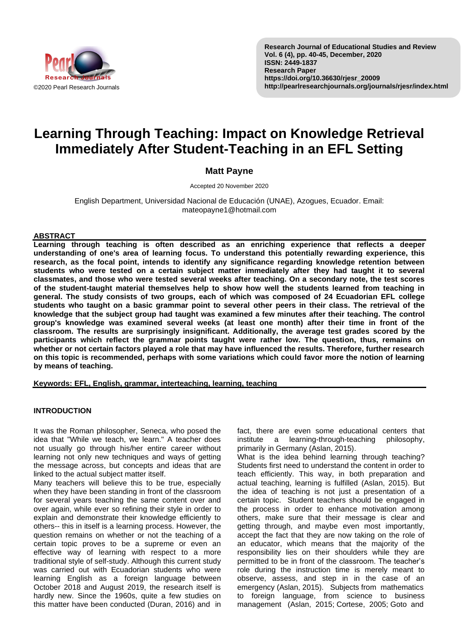

**Research Journal of Educational Studies and Review Vol. 6 (4), pp. 40-45, December, 2020 ISSN: 2449-1837 Research Paper https://doi.org/10.36630/rjesr\_20009 http://pearlresearchjournals.org/journals/rjesr/index.html**

# **Learning Through Teaching: Impact on Knowledge Retrieval Immediately After Student-Teaching in an EFL Setting**

# **Matt Payne**

Accepted 20 November 2020

English Department, Universidad Nacional de Educación (UNAE), Azogues, Ecuador. Email: mateopayne1@hotmail.com

## **ABSTRACT**

**Learning through teaching is often described as an enriching experience that reflects a deeper understanding of one's area of learning focus. To understand this potentially rewarding experience, this research, as the focal point, intends to identify any significance regarding knowledge retention between students who were tested on a certain subject matter immediately after they had taught it to several classmates, and those who were tested several weeks after teaching. On a secondary note, the test scores of the student-taught material themselves help to show how well the students learned from teaching in general. The study consists of two groups, each of which was composed of 24 Ecuadorian EFL college students who taught on a basic grammar point to several other peers in their class. The retrieval of the knowledge that the subject group had taught was examined a few minutes after their teaching. The control group's knowledge was examined several weeks (at least one month) after their time in front of the classroom. The results are surprisingly insignificant. Additionally, the average test grades scored by the participants which reflect the grammar points taught were rather low. The question, thus, remains on whether or not certain factors played a role that may have influenced the results. Therefore, further research on this topic is recommended, perhaps with some variations which could favor more the notion of learning by means of teaching.**

**Keywords: EFL, English, grammar, interteaching, learning, teaching**

## **INTRODUCTION**

It was the Roman philosopher, Seneca, who posed the idea that "While we teach, we learn." A teacher does not usually go through his/her entire career without learning not only new techniques and ways of getting the message across, but concepts and ideas that are linked to the actual subject matter itself.

Many teachers will believe this to be true, especially when they have been standing in front of the classroom for several years teaching the same content over and over again, while ever so refining their style in order to explain and demonstrate their knowledge efficiently to others-- this in itself is a learning process. However, the question remains on whether or not the teaching of a certain topic proves to be a supreme or even an effective way of learning with respect to a more traditional style of self-study. Although this current study was carried out with Ecuadorian students who were learning English as a foreign language between October 2018 and August 2019, the research itself is hardly new. Since the 1960s, quite a few studies on this matter have been conducted (Duran, 2016) and in

fact, there are even some educational centers that institute a learning-through-teaching philosophy, primarily in Germany (Aslan, 2015).

What is the idea behind learning through teaching? Students first need to understand the content in order to teach efficiently. This way, in both preparation and actual teaching, learning is fulfilled (Aslan, 2015). But the idea of teaching is not just a presentation of a certain topic. Student teachers should be engaged in the process in order to enhance motivation among others, make sure that their message is clear and getting through, and maybe even most importantly, accept the fact that they are now taking on the role of an educator, which means that the majority of the responsibility lies on their shoulders while they are permitted to be in front of the classroom. The teacher's role during the instruction time is merely meant to observe, assess, and step in in the case of an emergency (Aslan, 2015). Subjects from mathematics to foreign language, from science to business management (Aslan, 2015; Cortese, 2005; Goto and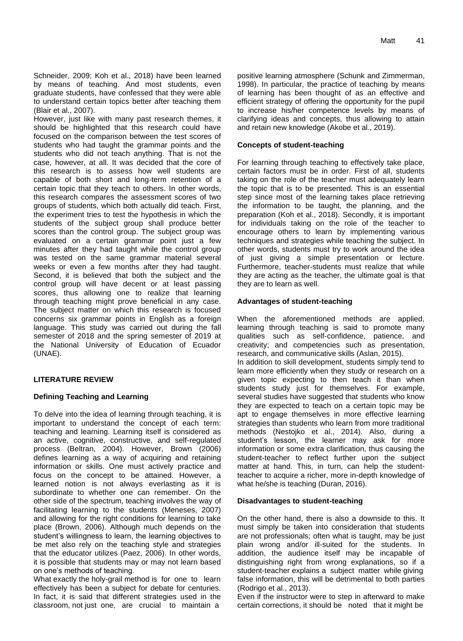Schneider, 2009; Koh et al., 2018) have been learned by means of teaching. And most students, even graduate students, have confessed that they were able to understand certain topics better after teaching them (Blair et al., 2007).

However, just like with many past research themes, it should be highlighted that this research could have focused on the comparison between the test scores of students who had taught the grammar points and the students who did not teach anything. That is not the case, however, at all. It was decided that the core of this research is to assess how well students are capable of both short and long-term retention of a certain topic that they teach to others. In other words, this research compares the assessment scores of two groups of students, which both actually did teach. First, the experiment tries to test the hypothesis in which the students of the subject group shall produce better scores than the control group. The subject group was evaluated on a certain grammar point just a few minutes after they had taught while the control group was tested on the same grammar material several weeks or even a few months after they had taught. Second, it is believed that both the subject and the control group will have decent or at least passing scores, thus allowing one to realize that learning through teaching might prove beneficial in any case. The subject matter on which this research is focused concerns six grammar points in English as a foreign language. This study was carried out during the fall semester of 2018 and the spring semester of 2019 at the National University of Education of Ecuador (UNAE).

# **LITERATURE REVIEW**

## **Defining Teaching and Learning**

To delve into the idea of learning through teaching, it is important to understand the concept of each term: teaching and learning. Learning itself is considered as an active, cognitive, constructive, and self-regulated process (Beltran, 2004). However, Brown (2006) defines learning as a way of acquiring and retaining information or skills. One must actively practice and focus on the concept to be attained. However, a learned notion is not always everlasting as it is subordinate to whether one can remember. On the other side of the spectrum, teaching involves the way of facilitating learning to the students (Meneses, 2007) and allowing for the right conditions for learning to take place (Brown, 2006). Although much depends on the student's willingness to learn, the learning objectives to be met also rely on the teaching style and strategies that the educator utilizes (Paez, 2006). In other words, it is possible that students may or may not learn based on one's methods of teaching.

What exactly the holy-grail method is for one to learn effectively has been a subject for debate for centuries. In fact, it is said that different strategies used in the classroom, not just one, are crucial to maintain a

positive learning atmosphere (Schunk and Zimmerman, 1998). In particular, the practice of teaching by means of learning has been thought of as an effective and efficient strategy of offering the opportunity for the pupil to increase his/her competence levels by means of clarifying ideas and concepts, thus allowing to attain and retain new knowledge (Akobe et al., 2019).

#### **Concepts of student-teaching**

For learning through teaching to effectively take place, certain factors must be in order. First of all, students taking on the role of the teacher must adequately learn the topic that is to be presented. This is an essential step since most of the learning takes place retrieving the information to be taught, the planning, and the preparation (Koh et al., 2018). Secondly, it is important for individuals taking on the role of the teacher to encourage others to learn by implementing various techniques and strategies while teaching the subject. In other words, students must try to work around the idea of just giving a simple presentation or lecture. Furthermore, teacher-students must realize that while they are acting as the teacher, the ultimate goal is that they are to learn as well.

#### **Advantages of student-teaching**

When the aforementioned methods are applied, learning through teaching is said to promote many qualities such as self-confidence, patience, and creativity; and competencies such as presentation, research, and communicative skills (Aslan, 2015). In addition to skill development, students simply tend to learn more efficiently when they study or research on a given topic expecting to then teach it than when students study just for themselves. For example, several studies have suggested that students who know they are expected to teach on a certain topic may be apt to engage themselves in more effective learning strategies than students who learn from more traditional methods (Nestojko et al., 2014). Also, during a student's lesson, the learner may ask for more information or some extra clarification, thus causing the student-teacher to reflect further upon the subject matter at hand. This, in turn, can help the studentteacher to acquire a richer, more in-depth knowledge of what he/she is teaching (Duran, 2016).

#### **Disadvantages to student-teaching**

On the other hand, there is also a downside to this. It must simply be taken into consideration that students are not professionals; often what is taught, may be just plain wrong and/or ill-suited for the students. In addition, the audience itself may be incapable of distinguishing right from wrong explanations, so if a student-teacher explains a subject matter while giving false information, this will be detrimental to both parties (Rodrigo et al., 2013).

Even if the instructor were to step in afterward to make certain corrections, it should be noted that it might be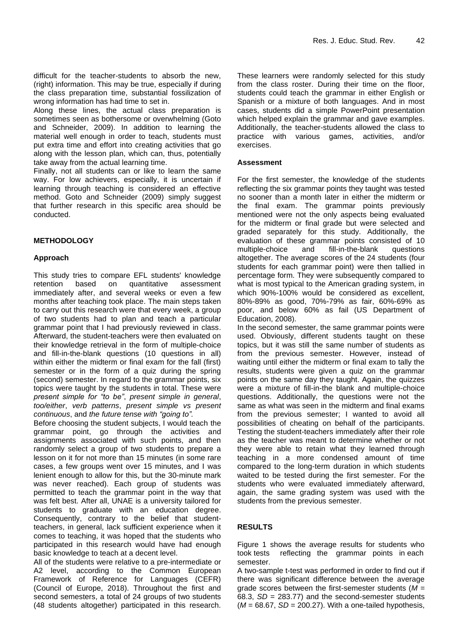difficult for the teacher-students to absorb the new, (right) information. This may be true, especially if during the class preparation time, substantial fossilization of wrong information has had time to set in.

Along these lines, the actual class preparation is sometimes seen as bothersome or overwhelming (Goto and Schneider, 2009). In addition to learning the material well enough in order to teach, students must put extra time and effort into creating activities that go along with the lesson plan, which can, thus, potentially take away from the actual learning time.

Finally, not all students can or like to learn the same way. For low achievers, especially, it is uncertain if learning through teaching is considered an effective method. Goto and Schneider (2009) simply suggest that further research in this specific area should be conducted.

# **METHODOLOGY**

## **Approach**

This study tries to compare EFL students' knowledge retention based on quantitative assessment immediately after, and several weeks or even a few months after teaching took place. The main steps taken to carry out this research were that every week, a group of two students had to plan and teach a particular grammar point that I had previously reviewed in class. Afterward, the student-teachers were then evaluated on their knowledge retrieval in the form of multiple-choice and fill-in-the-blank questions (10 questions in all) within either the midterm or final exam for the fall (first) semester or in the form of a quiz during the spring (second) semester. In regard to the grammar points, six topics were taught by the students in total. These were *present simple for "to be"*, *present simple in general*, *too/either*, *verb patterns*, *present simple vs present continuous*, and *the future tense with "going to".*

Before choosing the student subjects, I would teach the grammar point, go through the activities and assignments associated with such points, and then randomly select a group of two students to prepare a lesson on it for not more than 15 minutes (in some rare cases, a few groups went over 15 minutes, and I was lenient enough to allow for this, but the 30-minute mark was never reached). Each group of students was permitted to teach the grammar point in the way that was felt best. After all, UNAE is a university tailored for students to graduate with an education degree. Consequently, contrary to the belief that studentteachers, in general, lack sufficient experience when it comes to teaching, it was hoped that the students who participated in this research would have had enough basic knowledge to teach at a decent level.

All of the students were relative to a pre-intermediate or A2 level, according to the Common European Framework of Reference for Languages (CEFR) (Council of Europe, 2018). Throughout the first and second semesters, a total of 24 groups of two students (48 students altogether) participated in this research.

These learners were randomly selected for this study from the class roster. During their time on the floor, students could teach the grammar in either English or Spanish or a mixture of both languages. And in most cases, students did a simple PowerPoint presentation which helped explain the grammar and gave examples. Additionally, the teacher-students allowed the class to practice with various games, activities, and/or exercises.

#### **Assessment**

For the first semester, the knowledge of the students reflecting the six grammar points they taught was tested no sooner than a month later in either the midterm or the final exam. The grammar points previously mentioned were not the only aspects being evaluated for the midterm or final grade but were selected and graded separately for this study. Additionally, the evaluation of these grammar points consisted of 10 multiple-choice and fill-in-the-blank questions altogether. The average scores of the 24 students (four students for each grammar point) were then tallied in percentage form. They were subsequently compared to what is most typical to the American grading system, in which 90%-100% would be considered as excellent, 80%-89% as good, 70%-79% as fair, 60%-69% as poor, and below 60% as fail (US Department of Education, 2008).

In the second semester, the same grammar points were used. Obviously, different students taught on these topics, but it was still the same number of students as from the previous semester. However, instead of waiting until either the midterm or final exam to tally the results, students were given a quiz on the grammar points on the same day they taught. Again, the quizzes were a mixture of fill-in-the blank and multiple-choice questions. Additionally, the questions were not the same as what was seen in the midterm and final exams from the previous semester; I wanted to avoid all possibilities of cheating on behalf of the participants. Testing the student-teachers immediately after their role as the teacher was meant to determine whether or not they were able to retain what they learned through teaching in a more condensed amount of time compared to the long-term duration in which students waited to be tested during the first semester. For the students who were evaluated immediately afterward, again, the same grading system was used with the students from the previous semester.

## **RESULTS**

Figure 1 shows the average results for students who took tests reflecting the grammar points in each semester.

A two-sample t-test was performed in order to find out if there was significant difference between the average grade scores between the first-semester students (*M* = 68.3, *SD* = 283.77) and the second-semester students (*M* = 68.67, *SD* = 200.27). With a one-tailed hypothesis,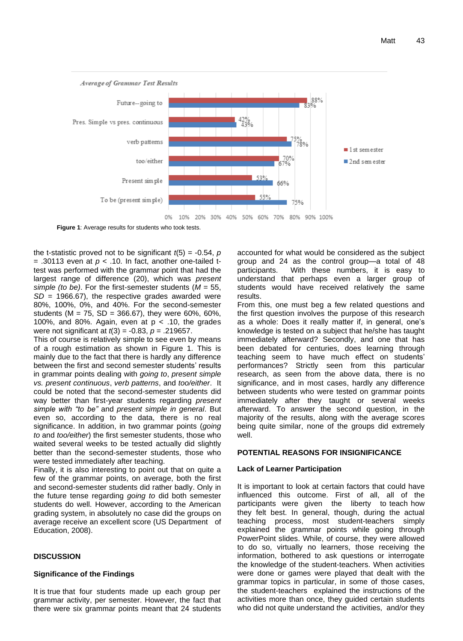

**Figure 1**: Average results for students who took tests.

the t-statistic proved not to be significant  $t(5) = -0.54$ , *p*  $=$  .30113 even at  $p < 0.10$ . In fact, another one-tailed ttest was performed with the grammar point that had the largest range of difference (20), which was *present simple (to be)*. For the first-semester students (*M* = 55, *SD* = 1966.67), the respective grades awarded were 80%, 100%, 0%, and 40%. For the second-semester students (M = 75, SD = 366.67), they were 60%, 60%, 100%, and 80%. Again, even at  $p < .10$ , the grades were not significant at *t*(3) = -0.83, *p* = .219657.

This of course is relatively simple to see even by means of a rough estimation as shown in Figure 1. This is mainly due to the fact that there is hardly any difference between the first and second semester students' results in grammar points dealing with *going to*, *present simple vs. present continuous*, *verb patterns*, and *too/either*. It could be noted that the second-semester students did way better than first-year students regarding *present simple with "to be"* and *present simple in general*. But even so, according to the data, there is no real significance. In addition, in two grammar points (*going to* and *too/either*) the first semester students, those who waited several weeks to be tested actually did slightly better than the second-semester students, those who were tested immediately after teaching.

Finally, it is also interesting to point out that on quite a few of the grammar points, on average, both the first and second-semester students did rather badly. Only in the future tense regarding *going to* did both semester students do well. However, according to the American grading system, in absolutely no case did the groups on average receive an excellent score (US Department of Education, 2008).

## **DISCUSSION**

#### **Significance of the Findings**

It is true that four students made up each group per grammar activity, per semester. However, the fact that there were six grammar points meant that 24 students accounted for what would be considered as the subject group and 24 as the control group—a total of 48 participants. With these numbers, it is easy to understand that perhaps even a larger group of students would have received relatively the same results.

From this, one must beg a few related questions and the first question involves the purpose of this research as a whole: Does it really matter if, in general, one's knowledge is tested on a subject that he/she has taught immediately afterward? Secondly, and one that has been debated for centuries, does learning through teaching seem to have much effect on students' performances? Strictly seen from this particular research, as seen from the above data, there is no significance, and in most cases, hardly any difference between students who were tested on grammar points immediately after they taught or several weeks afterward. To answer the second question, in the majority of the results, along with the average scores being quite similar, none of the groups did extremely well.

#### **POTENTIAL REASONS FOR INSIGNIFICANCE**

#### **Lack of Learner Participation**

It is important to look at certain factors that could have influenced this outcome. First of all, all of the participants were given the liberty to teach how they felt best. In general, though, during the actual teaching process, most student-teachers simply explained the grammar points while going through PowerPoint slides. While, of course, they were allowed to do so, virtually no learners, those receiving the information, bothered to ask questions or interrogate the knowledge of the student-teachers. When activities were done or games were played that dealt with the grammar topics in particular, in some of those cases, the student-teachers explained the instructions of the activities more than once, they guided certain students who did not quite understand the activities, and/or they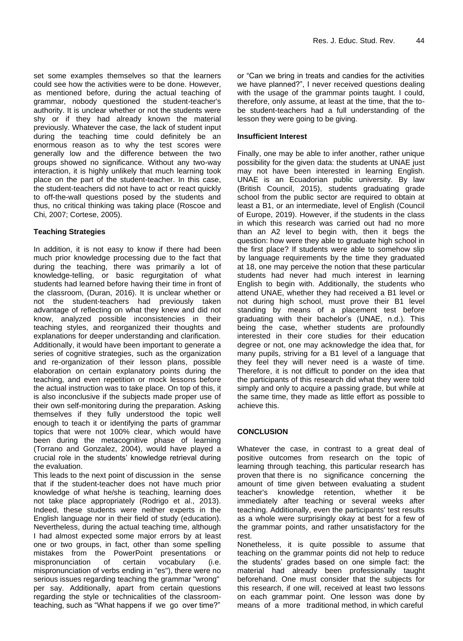set some examples themselves so that the learners could see how the activities were to be done. However, as mentioned before, during the actual teaching of grammar, nobody questioned the student-teacher's authority. It is unclear whether or not the students were shy or if they had already known the material previously. Whatever the case, the lack of student input during the teaching time could definitely be an enormous reason as to why the test scores were generally low and the difference between the two groups showed no significance. Without any two-way interaction, it is highly unlikely that much learning took place on the part of the student-teacher. In this case, the student-teachers did not have to act or react quickly to off-the-wall questions posed by the students and thus, no critical thinking was taking place (Roscoe and Chi, 2007; Cortese, 2005).

# **Teaching Strategies**

In addition, it is not easy to know if there had been much prior knowledge processing due to the fact that during the teaching, there was primarily a lot of knowledge-telling, or basic regurgitation of what students had learned before having their time in front of the classroom, (Duran, 2016). It is unclear whether or not the student-teachers had previously taken advantage of reflecting on what they knew and did not know, analyzed possible inconsistencies in their teaching styles, and reorganized their thoughts and explanations for deeper understanding and clarification. Additionally, it would have been important to generate a series of cognitive strategies, such as the organization and re-organization of their lesson plans, possible elaboration on certain explanatory points during the teaching, and even repetition or mock lessons before the actual instruction was to take place. On top of this, it is also inconclusive if the subjects made proper use of their own self-monitoring during the preparation. Asking themselves if they fully understood the topic well enough to teach it or identifying the parts of grammar topics that were not 100% clear, which would have been during the metacognitive phase of learning (Torrano and Gonzalez, 2004), would have played a crucial role in the students' knowledge retrieval during the evaluation.

This leads to the next point of discussion in the sense that if the student-teacher does not have much prior knowledge of what he/she is teaching, learning does not take place appropriately (Rodrigo et al., 2013). Indeed, these students were neither experts in the English language nor in their field of study (education). Nevertheless, during the actual teaching time, although I had almost expected some major errors by at least one or two groups, in fact, other than some spelling mistakes from the PowerPoint presentations or mispronunciation of certain vocabulary (i.e. mispronunciation of verbs ending in "es"), there were no serious issues regarding teaching the grammar "wrong" per say. Additionally, apart from certain questions regarding the style or technicalities of the classroomteaching, such as "What happens if we go over time?"

or "Can we bring in treats and candies for the activities we have planned?", I never received questions dealing with the usage of the grammar points taught. I could, therefore, only assume, at least at the time, that the tobe student-teachers had a full understanding of the lesson they were going to be giving.

## **Insufficient Interest**

Finally, one may be able to infer another, rather unique possibility for the given data: the students at UNAE just may not have been interested in learning English. UNAE is an Ecuadorian public university. By law (British Council, 2015), students graduating grade school from the public sector are required to obtain at least a B1, or an intermediate, level of English (Council of Europe, 2019). However, if the students in the class in which this research was carried out had no more than an A2 level to begin with, then it begs the question: how were they able to graduate high school in the first place? If students were able to somehow slip by language requirements by the time they graduated at 18, one may perceive the notion that these particular students had never had much interest in learning English to begin with. Additionally, the students who attend UNAE, whether they had received a B1 level or not during high school, must prove their B1 level standing by means of a placement test before graduating with their bachelor's (UNAE, n.d.). This being the case, whether students are profoundly interested in their core studies for their education degree or not, one may acknowledge the idea that, for many pupils, striving for a B1 level of a language that they feel they will never need is a waste of time. Therefore, it is not difficult to ponder on the idea that the participants of this research did what they were told simply and only to acquire a passing grade, but while at the same time, they made as little effort as possible to achieve this.

## **CONCLUSION**

Whatever the case, in contrast to a great deal of positive outcomes from research on the topic of learning through teaching, this particular research has proven that there is no significance concerning the amount of time given between evaluating a student teacher's knowledge retention, whether it be immediately after teaching or several weeks after teaching. Additionally, even the participants' test results as a whole were surprisingly okay at best for a few of the grammar points, and rather unsatisfactory for the rest.

Nonetheless, it is quite possible to assume that teaching on the grammar points did not help to reduce the students' grades based on one simple fact: the material had already been professionally taught beforehand. One must consider that the subjects for this research, if one will, received at least two lessons on each grammar point. One lesson was done by means of a more traditional method, in which careful